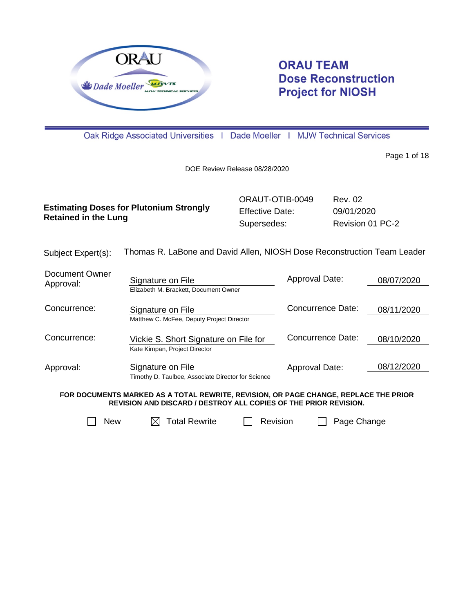

# **ORAU TEAM Dose Reconstruction Project for NIOSH**

Oak Ridge Associated Universities | Dade Moeller | MJW Technical Services

Page 1 of 18

DOE Review Release 08/28/2020

| <b>Estimating Doses for Plutonium Strongly</b><br><b>Retained in the Lung</b> | ORAUT-OTIB-0049        | Rev. 02          |
|-------------------------------------------------------------------------------|------------------------|------------------|
|                                                                               | <b>Effective Date:</b> | 09/01/2020       |
|                                                                               | Supersedes:            | Revision 01 PC-2 |

| Subject Expert(s): | Thomas R. LaBone and David Allen, NIOSH Dose Reconstruction Team Leader |
|--------------------|-------------------------------------------------------------------------|
|--------------------|-------------------------------------------------------------------------|

| Document Owner<br>Approval: | Signature on File                                  | Approval Date:    | 08/07/2020 |
|-----------------------------|----------------------------------------------------|-------------------|------------|
|                             | Elizabeth M. Brackett, Document Owner              |                   |            |
| Concurrence:                | Signature on File                                  | Concurrence Date: | 08/11/2020 |
|                             | Matthew C. McFee, Deputy Project Director          |                   |            |
| Concurrence:                | Vickie S. Short Signature on File for              | Concurrence Date: | 08/10/2020 |
|                             | Kate Kimpan, Project Director                      |                   |            |
| Approval:                   | Signature on File                                  | Approval Date:    | 08/12/2020 |
|                             | Timothy D. Taulbee, Associate Director for Science |                   |            |

**FOR DOCUMENTS MARKED AS A TOTAL REWRITE, REVISION, OR PAGE CHANGE, REPLACE THE PRIOR REVISION AND DISCARD / DESTROY ALL COPIES OF THE PRIOR REVISION.**



 $\Box$  New  $\Box$  Total Rewrite  $\Box$  Revision  $\Box$  Page Change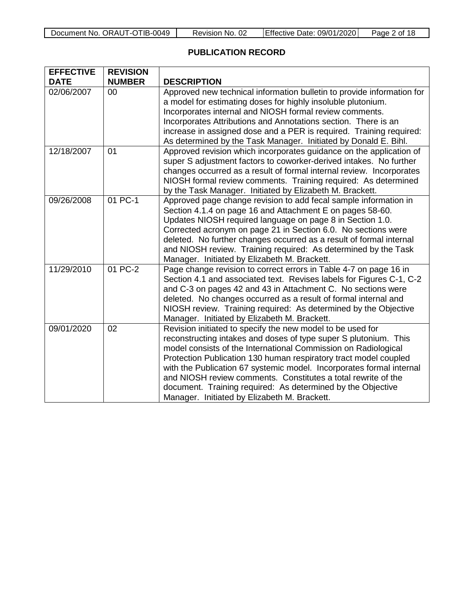## **PUBLICATION RECORD**

| <b>EFFECTIVE</b> | <b>REVISION</b> |                                                                                                                                                                                                                                                                                                                                                                                                                                                                                                                              |  |  |
|------------------|-----------------|------------------------------------------------------------------------------------------------------------------------------------------------------------------------------------------------------------------------------------------------------------------------------------------------------------------------------------------------------------------------------------------------------------------------------------------------------------------------------------------------------------------------------|--|--|
| <b>DATE</b>      | <b>NUMBER</b>   | <b>DESCRIPTION</b>                                                                                                                                                                                                                                                                                                                                                                                                                                                                                                           |  |  |
| 02/06/2007       | 00              | Approved new technical information bulletin to provide information for<br>a model for estimating doses for highly insoluble plutonium.<br>Incorporates internal and NIOSH formal review comments.<br>Incorporates Attributions and Annotations section. There is an<br>increase in assigned dose and a PER is required. Training required:<br>As determined by the Task Manager. Initiated by Donald E. Bihl.                                                                                                                |  |  |
| 12/18/2007       | 01              | Approved revision which incorporates guidance on the application of<br>super S adjustment factors to coworker-derived intakes. No further<br>changes occurred as a result of formal internal review. Incorporates<br>NIOSH formal review comments. Training required: As determined<br>by the Task Manager. Initiated by Elizabeth M. Brackett.                                                                                                                                                                              |  |  |
| 09/26/2008       | 01 PC-1         | Approved page change revision to add fecal sample information in<br>Section 4.1.4 on page 16 and Attachment E on pages 58-60.<br>Updates NIOSH required language on page 8 in Section 1.0.<br>Corrected acronym on page 21 in Section 6.0. No sections were<br>deleted. No further changes occurred as a result of formal internal<br>and NIOSH review. Training required: As determined by the Task<br>Manager. Initiated by Elizabeth M. Brackett.                                                                         |  |  |
| 11/29/2010       | 01 PC-2         | Page change revision to correct errors in Table 4-7 on page 16 in<br>Section 4.1 and associated text. Revises labels for Figures C-1, C-2<br>and C-3 on pages 42 and 43 in Attachment C. No sections were<br>deleted. No changes occurred as a result of formal internal and<br>NIOSH review. Training required: As determined by the Objective<br>Manager. Initiated by Elizabeth M. Brackett.                                                                                                                              |  |  |
| 09/01/2020       | 02              | Revision initiated to specify the new model to be used for<br>reconstructing intakes and doses of type super S plutonium. This<br>model consists of the International Commission on Radiological<br>Protection Publication 130 human respiratory tract model coupled<br>with the Publication 67 systemic model. Incorporates formal internal<br>and NIOSH review comments. Constitutes a total rewrite of the<br>document. Training required: As determined by the Objective<br>Manager. Initiated by Elizabeth M. Brackett. |  |  |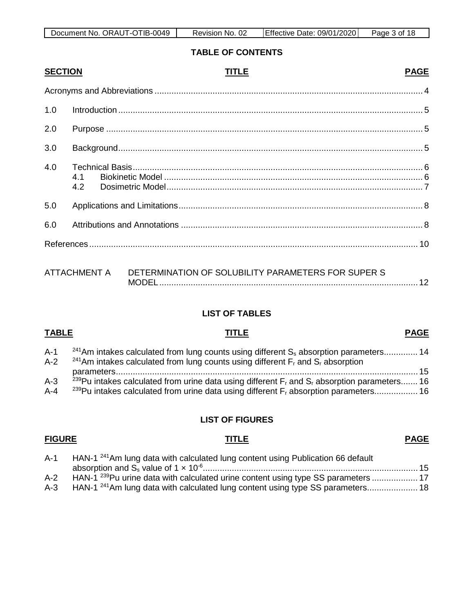| ORAUT-OTIB-0049<br>Document No. | 02<br>No.<br><b>Revision</b> | Date: 09/01/2020<br>Effective | Page 5<br>of 18 |
|---------------------------------|------------------------------|-------------------------------|-----------------|

**TABLE OF CONTENTS**

| <b>SECTION</b> |              | <b>TITLE</b>                                       | <b>PAGE</b> |
|----------------|--------------|----------------------------------------------------|-------------|
|                |              |                                                    |             |
| 1.0            |              |                                                    |             |
| 2.0            |              |                                                    |             |
| 3.0            |              |                                                    |             |
| 4.0            | 4.1<br>4.2   |                                                    |             |
| 5.0            |              |                                                    |             |
| 6.0            |              |                                                    |             |
|                |              |                                                    |             |
|                | ATTACHMENT A | DETERMINATION OF SOLUBILITY PARAMETERS FOR SUPER S |             |

### **LIST OF TABLES**

| <b>TABLE</b>     | TITLE                                                                                                                                                                                                                         | <b>PAGE</b> |
|------------------|-------------------------------------------------------------------------------------------------------------------------------------------------------------------------------------------------------------------------------|-------------|
| $A-1$<br>$A-2$   | <sup>241</sup> Am intakes calculated from lung counts using different S <sub>s</sub> absorption parameters 14<br><sup>241</sup> Am intakes calculated from lung counts using different $F_r$ and $S_r$ absorption             |             |
|                  |                                                                                                                                                                                                                               | - 15        |
| $A-3$<br>$A - 4$ | <sup>239</sup> Pu intakes calculated from urine data using different $F_r$ and $S_r$ absorption parameters 16<br><sup>239</sup> Pu intakes calculated from urine data using different F <sub>r</sub> absorption parameters 16 |             |

### **LIST OF FIGURES**

## A-1 HAN-1<sup>241</sup>Am lung data with calculated lung content using Publication 66 default absorption and Ss [value of 1 × 10-6.........................................................................................](#page-14-1) 15 A-2 HAN-1<sup>239</sup>Pu urine data with calculated urine content using type SS parameters ..............................<br>A-3 HAN-1<sup>241</sup>Am lung data with calculated lung content using type SS parameters............................ HAN-1<sup>241</sup>Am lung data with calculated lung content using type SS parameters..................... 18

## **FIGURE TITLE PAGE**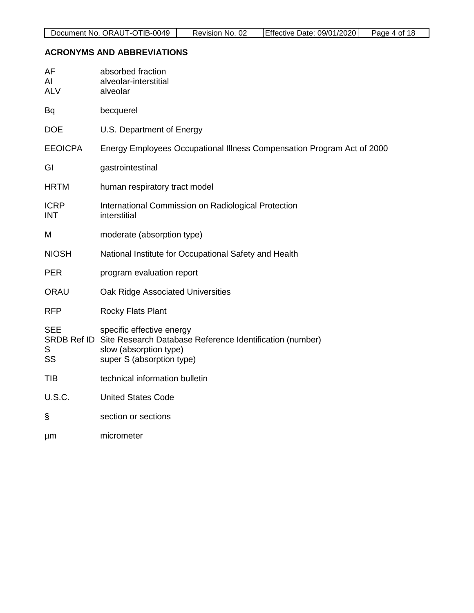## <span id="page-3-0"></span>**ACRONYMS AND ABBREVIATIONS**

| AF<br>AI<br><b>ALV</b>    | absorbed fraction<br>alveolar-interstitial<br>alveolar                                                                                                   |
|---------------------------|----------------------------------------------------------------------------------------------------------------------------------------------------------|
| Bq                        | becquerel                                                                                                                                                |
| <b>DOE</b>                | U.S. Department of Energy                                                                                                                                |
| <b>EEOICPA</b>            | Energy Employees Occupational Illness Compensation Program Act of 2000                                                                                   |
| GI                        | gastrointestinal                                                                                                                                         |
| <b>HRTM</b>               | human respiratory tract model                                                                                                                            |
| <b>ICRP</b><br><b>INT</b> | International Commission on Radiological Protection<br>interstitial                                                                                      |
| M                         | moderate (absorption type)                                                                                                                               |
| <b>NIOSH</b>              | National Institute for Occupational Safety and Health                                                                                                    |
| <b>PER</b>                | program evaluation report                                                                                                                                |
| <b>ORAU</b>               | Oak Ridge Associated Universities                                                                                                                        |
| <b>RFP</b>                | <b>Rocky Flats Plant</b>                                                                                                                                 |
| <b>SEE</b><br>S<br>SS     | specific effective energy<br>SRDB Ref ID Site Research Database Reference Identification (number)<br>slow (absorption type)<br>super S (absorption type) |
| <b>TIB</b>                | technical information bulletin                                                                                                                           |
| <b>U.S.C.</b>             | <b>United States Code</b>                                                                                                                                |
| S                         | section or sections                                                                                                                                      |
| μm                        | micrometer                                                                                                                                               |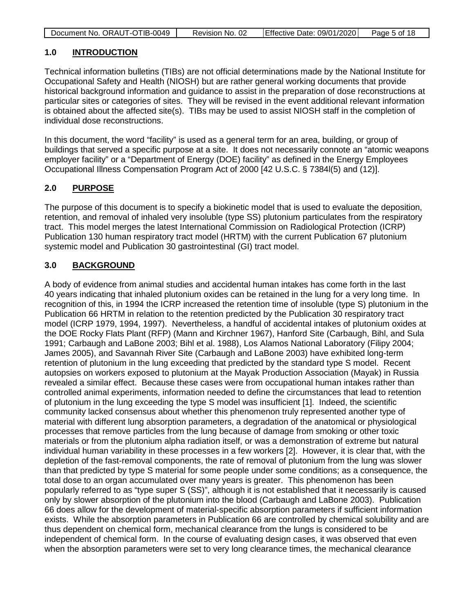| Document No. ORAUT-OTIB-0049 | Revision No. 02 | Effective Date: 09/01/2020 | Page 5 of 18 |
|------------------------------|-----------------|----------------------------|--------------|

#### <span id="page-4-0"></span>**1.0 INTRODUCTION**

Technical information bulletins (TIBs) are not official determinations made by the National Institute for Occupational Safety and Health (NIOSH) but are rather general working documents that provide historical background information and guidance to assist in the preparation of dose reconstructions at particular sites or categories of sites. They will be revised in the event additional relevant information is obtained about the affected site(s). TIBs may be used to assist NIOSH staff in the completion of individual dose reconstructions.

In this document, the word "facility" is used as a general term for an area, building, or group of buildings that served a specific purpose at a site. It does not necessarily connote an "atomic weapons employer facility" or a "Department of Energy (DOE) facility" as defined in the Energy Employees Occupational Illness Compensation Program Act of 2000 [42 U.S.C. § 7384l(5) and (12)].

### <span id="page-4-1"></span>**2.0 PURPOSE**

The purpose of this document is to specify a biokinetic model that is used to evaluate the deposition, retention, and removal of inhaled very insoluble (type SS) plutonium particulates from the respiratory tract. This model merges the latest International Commission on Radiological Protection (ICRP) Publication 130 human respiratory tract model (HRTM) with the current Publication 67 plutonium systemic model and Publication 30 gastrointestinal (GI) tract model.

### <span id="page-4-2"></span>**3.0 BACKGROUND**

A body of evidence from animal studies and accidental human intakes has come forth in the last 40 years indicating that inhaled plutonium oxides can be retained in the lung for a very long time. In recognition of this, in 1994 the ICRP increased the retention time of insoluble (type S) plutonium in the Publication 66 HRTM in relation to the retention predicted by the Publication 30 respiratory tract model (ICRP 1979, 1994, 1997). Nevertheless, a handful of accidental intakes of plutonium oxides at the DOE Rocky Flats Plant (RFP) (Mann and Kirchner 1967), Hanford Site (Carbaugh, Bihl, and Sula 1991; Carbaugh and LaBone 2003; Bihl et al. 1988), Los Alamos National Laboratory (Filipy 2004; James 2005), and Savannah River Site (Carbaugh and LaBone 2003) have exhibited long-term retention of plutonium in the lung exceeding that predicted by the standard type S model. Recent autopsies on workers exposed to plutonium at the Mayak Production Association (Mayak) in Russia revealed a similar effect. Because these cases were from occupational human intakes rather than controlled animal experiments, information needed to define the circumstances that lead to retention of plutonium in the lung exceeding the type S model was insufficient [1]. Indeed, the scientific community lacked consensus about whether this phenomenon truly represented another type of material with different lung absorption parameters, a degradation of the anatomical or physiological processes that remove particles from the lung because of damage from smoking or other toxic materials or from the plutonium alpha radiation itself, or was a demonstration of extreme but natural individual human variability in these processes in a few workers [2]. However, it is clear that, with the depletion of the fast-removal components, the rate of removal of plutonium from the lung was slower than that predicted by type S material for some people under some conditions; as a consequence, the total dose to an organ accumulated over many years is greater. This phenomenon has been popularly referred to as "type super S (SS)", although it is not established that it necessarily is caused only by slower absorption of the plutonium into the blood (Carbaugh and LaBone 2003). Publication 66 does allow for the development of material-specific absorption parameters if sufficient information exists. While the absorption parameters in Publication 66 are controlled by chemical solubility and are thus dependent on chemical form, mechanical clearance from the lungs is considered to be independent of chemical form. In the course of evaluating design cases, it was observed that even when the absorption parameters were set to very long clearance times, the mechanical clearance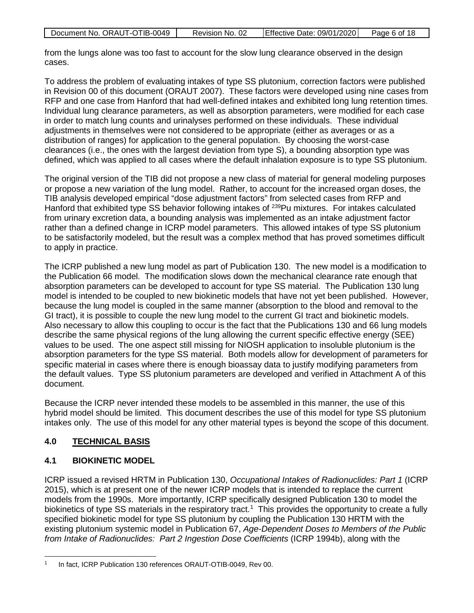| Document No. ORAUT-OTIB-0049 | Revision No. 02 | Effective Date: 09/01/2020 | Page 6 of 18 |
|------------------------------|-----------------|----------------------------|--------------|

from the lungs alone was too fast to account for the slow lung clearance observed in the design cases.

To address the problem of evaluating intakes of type SS plutonium, correction factors were published in Revision 00 of this document (ORAUT 2007). These factors were developed using nine cases from RFP and one case from Hanford that had well-defined intakes and exhibited long lung retention times. Individual lung clearance parameters, as well as absorption parameters, were modified for each case in order to match lung counts and urinalyses performed on these individuals. These individual adjustments in themselves were not considered to be appropriate (either as averages or as a distribution of ranges) for application to the general population. By choosing the worst-case clearances (i.e., the ones with the largest deviation from type S), a bounding absorption type was defined, which was applied to all cases where the default inhalation exposure is to type SS plutonium.

The original version of the TIB did not propose a new class of material for general modeling purposes or propose a new variation of the lung model. Rather, to account for the increased organ doses, the TIB analysis developed empirical "dose adjustment factors" from selected cases from RFP and Hanford that exhibited type SS behavior following intakes of <sup>239</sup>Pu mixtures. For intakes calculated from urinary excretion data, a bounding analysis was implemented as an intake adjustment factor rather than a defined change in ICRP model parameters. This allowed intakes of type SS plutonium to be satisfactorily modeled, but the result was a complex method that has proved sometimes difficult to apply in practice.

The ICRP published a new lung model as part of Publication 130. The new model is a modification to the Publication 66 model. The modification slows down the mechanical clearance rate enough that absorption parameters can be developed to account for type SS material. The Publication 130 lung model is intended to be coupled to new biokinetic models that have not yet been published. However, because the lung model is coupled in the same manner (absorption to the blood and removal to the GI tract), it is possible to couple the new lung model to the current GI tract and biokinetic models. Also necessary to allow this coupling to occur is the fact that the Publications 130 and 66 lung models describe the same physical regions of the lung allowing the current specific effective energy (SEE) values to be used. The one aspect still missing for NIOSH application to insoluble plutonium is the absorption parameters for the type SS material. Both models allow for development of parameters for specific material in cases where there is enough bioassay data to justify modifying parameters from the default values. Type SS plutonium parameters are developed and verified in Attachment A of this document.

Because the ICRP never intended these models to be assembled in this manner, the use of this hybrid model should be limited. This document describes the use of this model for type SS plutonium intakes only. The use of this model for any other material types is beyond the scope of this document.

## <span id="page-5-0"></span>**4.0 TECHNICAL BASIS**

## <span id="page-5-1"></span>**4.1 BIOKINETIC MODEL**

ICRP issued a revised HRTM in Publication 130, *Occupational Intakes of Radionuclides: Part 1* (ICRP 2015), which is at present one of the newer ICRP models that is intended to replace the current models from the 1990s. More importantly, ICRP specifically designed Publication 130 to model the biokinetics of type SS materials in the respiratory tract.<sup>1</sup> This provides the opportunity to create a fully specified biokinetic model for type SS plutonium by coupling the Publication 130 HRTM with the existing plutonium systemic model in Publication 67, *Age-Dependent Doses to Members of the Public from Intake of Radionuclides: Part 2 Ingestion Dose Coefficients* (ICRP 1994b), along with the

 $\ddot{\phantom{a}}$ <sup>1</sup> In fact, ICRP Publication 130 references ORAUT-OTIB-0049, Rev 00.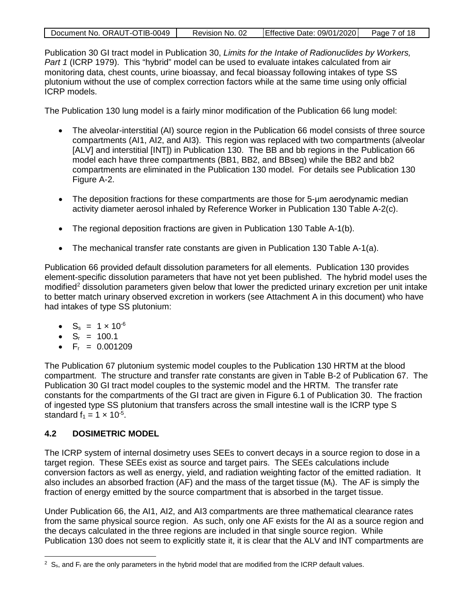| Document No. ORAUT-OTIB-0049 | Revision No. 02 | Effective Date: 09/01/2020 | Page 7 of 18 |
|------------------------------|-----------------|----------------------------|--------------|

Publication 30 GI tract model in Publication 30, *Limits for the Intake of Radionuclides by Workers, Part 1* (ICRP 1979). This "hybrid" model can be used to evaluate intakes calculated from air monitoring data, chest counts, urine bioassay, and fecal bioassay following intakes of type SS plutonium without the use of complex correction factors while at the same time using only official ICRP models.

The Publication 130 lung model is a fairly minor modification of the Publication 66 lung model:

- The alveolar-interstitial (AI) source region in the Publication 66 model consists of three source compartments (AI1, AI2, and AI3). This region was replaced with two compartments (alveolar [ALV] and interstitial [INT]) in Publication 130. The BB and bb regions in the Publication 66 model each have three compartments (BB1, BB2, and BBseq) while the BB2 and bb2 compartments are eliminated in the Publication 130 model. For details see Publication 130 Figure A-2.
- The deposition fractions for these compartments are those for 5-um aerodynamic median activity diameter aerosol inhaled by Reference Worker in Publication 130 Table A-2(c).
- The regional deposition fractions are given in Publication 130 Table A-1(b).
- The mechanical transfer rate constants are given in Publication 130 Table A-1(a).

Publication 66 provided default dissolution parameters for all elements. Publication 130 provides element-specific dissolution parameters that have not yet been published. The hybrid model uses the modified<sup>2</sup> dissolution parameters given below that lower the predicted urinary excretion per unit intake to better match urinary observed excretion in workers (see Attachment A in this document) who have had intakes of type SS plutonium:

- $S_s = 1 \times 10^{-6}$
- $S_r = 100.1$
- $F_r = 0.001209$

The Publication 67 plutonium systemic model couples to the Publication 130 HRTM at the blood compartment. The structure and transfer rate constants are given in Table B-2 of Publication 67. The Publication 30 GI tract model couples to the systemic model and the HRTM. The transfer rate constants for the compartments of the GI tract are given in Figure 6.1 of Publication 30. The fraction of ingested type SS plutonium that transfers across the small intestine wall is the ICRP type S standard  $f_1 = 1 \times 10^{-5}$ .

## <span id="page-6-0"></span>**4.2 DOSIMETRIC MODEL**

The ICRP system of internal dosimetry uses SEEs to convert decays in a source region to dose in a target region. These SEEs exist as source and target pairs. The SEEs calculations include conversion factors as well as energy, yield, and radiation weighting factor of the emitted radiation. It also includes an absorbed fraction (AF) and the mass of the target tissue  $(M_t)$ . The AF is simply the fraction of energy emitted by the source compartment that is absorbed in the target tissue.

Under Publication 66, the AI1, AI2, and AI3 compartments are three mathematical clearance rates from the same physical source region. As such, only one AF exists for the AI as a source region and the decays calculated in the three regions are included in that single source region. While Publication 130 does not seem to explicitly state it, it is clear that the ALV and INT compartments are

 $2 \text{ S}_\text{s}$ , and F<sub>r</sub> are the only parameters in the hybrid model that are modified from the ICRP default values.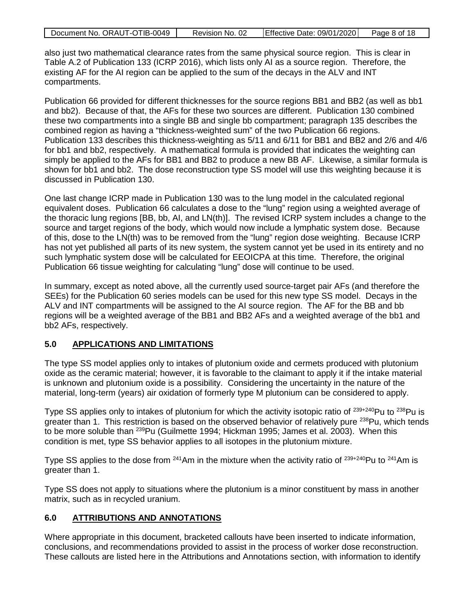| Document No. ORAUT-OTIB-0049 | Revision No. 02 | Effective Date: $09/01/2020$ Page 8 of 18 |  |
|------------------------------|-----------------|-------------------------------------------|--|

also just two mathematical clearance rates from the same physical source region. This is clear in Table A.2 of Publication 133 (ICRP 2016), which lists only AI as a source region. Therefore, the existing AF for the AI region can be applied to the sum of the decays in the ALV and INT compartments.

Publication 66 provided for different thicknesses for the source regions BB1 and BB2 (as well as bb1 and bb2). Because of that, the AFs for these two sources are different. Publication 130 combined these two compartments into a single BB and single bb compartment; paragraph 135 describes the combined region as having a "thickness-weighted sum" of the two Publication 66 regions. Publication 133 describes this thickness-weighting as 5/11 and 6/11 for BB1 and BB2 and 2/6 and 4/6 for bb1 and bb2, respectively. A mathematical formula is provided that indicates the weighting can simply be applied to the AFs for BB1 and BB2 to produce a new BB AF. Likewise, a similar formula is shown for bb1 and bb2. The dose reconstruction type SS model will use this weighting because it is discussed in Publication 130.

One last change ICRP made in Publication 130 was to the lung model in the calculated regional equivalent doses. Publication 66 calculates a dose to the "lung" region using a weighted average of the thoracic lung regions [BB, bb, AI, and LN(th)]. The revised ICRP system includes a change to the source and target regions of the body, which would now include a lymphatic system dose. Because of this, dose to the LN(th) was to be removed from the "lung" region dose weighting. Because ICRP has not yet published all parts of its new system, the system cannot yet be used in its entirety and no such lymphatic system dose will be calculated for EEOICPA at this time. Therefore, the original Publication 66 tissue weighting for calculating "lung" dose will continue to be used.

In summary, except as noted above, all the currently used source-target pair AFs (and therefore the SEEs) for the Publication 60 series models can be used for this new type SS model. Decays in the ALV and INT compartments will be assigned to the AI source region. The AF for the BB and bb regions will be a weighted average of the BB1 and BB2 AFs and a weighted average of the bb1 and bb2 AFs, respectively.

### <span id="page-7-0"></span>**5.0 APPLICATIONS AND LIMITATIONS**

The type SS model applies only to intakes of plutonium oxide and cermets produced with plutonium oxide as the ceramic material; however, it is favorable to the claimant to apply it if the intake material is unknown and plutonium oxide is a possibility. Considering the uncertainty in the nature of the material, long-term (years) air oxidation of formerly type M plutonium can be considered to apply.

Type SS applies only to intakes of plutonium for which the activity isotopic ratio of <sup>239+240</sup>Pu to <sup>238</sup>Pu is greater than 1. This restriction is based on the observed behavior of relatively pure  $^{238}$ Pu, which tends to be more soluble than <sup>239</sup>Pu (Guilmette 1994; Hickman 1995; James et al. 2003). When this condition is met, type SS behavior applies to all isotopes in the plutonium mixture.

Type SS applies to the dose from  $241$ Am in the mixture when the activity ratio of  $239+240$ Pu to  $241$ Am is greater than 1.

Type SS does not apply to situations where the plutonium is a minor constituent by mass in another matrix, such as in recycled uranium.

### <span id="page-7-1"></span>**6.0 ATTRIBUTIONS AND ANNOTATIONS**

Where appropriate in this document, bracketed callouts have been inserted to indicate information, conclusions, and recommendations provided to assist in the process of worker dose reconstruction. These callouts are listed here in the Attributions and Annotations section, with information to identify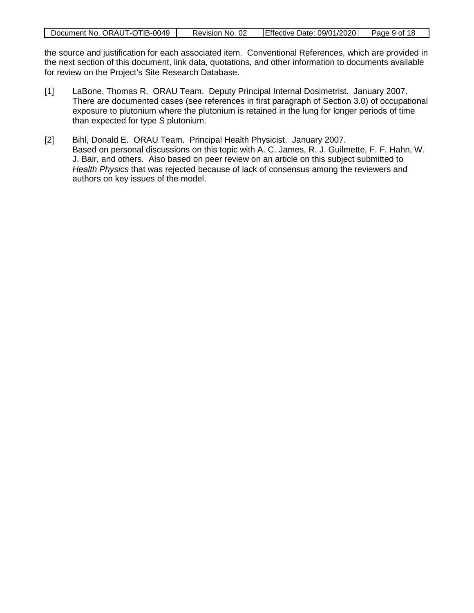| Document No. ORAUT-OTIB-0049 | Revision No. 02 | Effective Date: 09/01/2020 | Page 9 of 18 |
|------------------------------|-----------------|----------------------------|--------------|
|                              |                 |                            |              |

the source and justification for each associated item. Conventional References, which are provided in the next section of this document, link data, quotations, and other information to documents available for review on the Project's Site Research Database.

- [1] LaBone, Thomas R. ORAU Team. Deputy Principal Internal Dosimetrist. January 2007. There are documented cases (see references in first paragraph of Section [3.0\)](#page-4-2) of occupational exposure to plutonium where the plutonium is retained in the lung for longer periods of time than expected for type S plutonium.
- [2] Bihl, Donald E. ORAU Team. Principal Health Physicist. January 2007. Based on personal discussions on this topic with A. C. James, R. J. Guilmette, F. F. Hahn, W. J. Bair, and others. Also based on peer review on an article on this subject submitted to *Health Physics* that was rejected because of lack of consensus among the reviewers and authors on key issues of the model.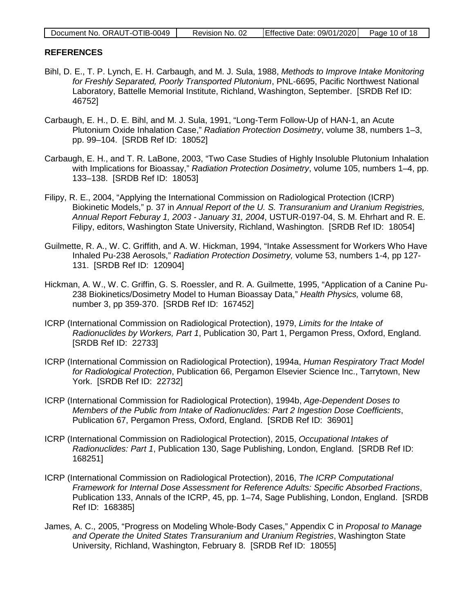| Document No. ORAUT-OTIB-0049 | Revision No. 02 | Effective Date: 09/01/2020 Page 10 of 18 |  |
|------------------------------|-----------------|------------------------------------------|--|

#### <span id="page-9-0"></span>**REFERENCES**

- Bihl, D. E., T. P. Lynch, E. H. Carbaugh, and M. J. Sula, 1988, *Methods to Improve Intake Monitoring for Freshly Separated, Poorly Transported Plutonium*, PNL-6695, Pacific Northwest National Laboratory, Battelle Memorial Institute, Richland, Washington, September. [SRDB Ref ID: 46752]
- Carbaugh, E. H., D. E. Bihl, and M. J. Sula, 1991, "Long-Term Follow-Up of HAN-1, an Acute Plutonium Oxide Inhalation Case," *Radiation Protection Dosimetry*, volume 38, numbers 1–3, pp. 99–104. [SRDB Ref ID: 18052]
- Carbaugh, E. H., and T. R. LaBone, 2003, "Two Case Studies of Highly Insoluble Plutonium Inhalation with Implications for Bioassay," *Radiation Protection Dosimetry*, volume 105, numbers 1–4, pp. 133–138. [SRDB Ref ID: 18053]
- Filipy, R. E., 2004, "Applying the International Commission on Radiological Protection (ICRP) Biokinetic Models," p. 37 in *Annual Report of the U. S. Transuranium and Uranium Registries, Annual Report Feburay 1, 2003 - January 31, 2004*, USTUR-0197-04, S. M. Ehrhart and R. E. Filipy, editors, Washington State University, Richland, Washington. [SRDB Ref ID: 18054]
- Guilmette, R. A., W. C. Griffith, and A. W. Hickman, 1994, "Intake Assessment for Workers Who Have Inhaled Pu-238 Aerosols," *Radiation Protection Dosimetry,* volume 53, numbers 1-4, pp 127- 131. [SRDB Ref ID: 120904]
- Hickman, A. W., W. C. Griffin, G. S. Roessler, and R. A. Guilmette, 1995, "Application of a Canine Pu-238 Biokinetics/Dosimetry Model to Human Bioassay Data," *Health Physics,* volume 68, number 3, pp 359-370. [SRDB Ref ID: 167452]
- ICRP (International Commission on Radiological Protection), 1979, *Limits for the Intake of Radionuclides by Workers, Part 1*, Publication 30, Part 1, Pergamon Press, Oxford, England. [SRDB Ref ID: 22733]
- ICRP (International Commission on Radiological Protection), 1994a, *Human Respiratory Tract Model for Radiological Protection*, Publication 66, Pergamon Elsevier Science Inc., Tarrytown, New York. [SRDB Ref ID: 22732]
- ICRP (International Commission for Radiological Protection), 1994b, *Age-Dependent Doses to Members of the Public from Intake of Radionuclides: Part 2 Ingestion Dose Coefficients*, Publication 67, Pergamon Press, Oxford, England. [SRDB Ref ID: 36901]
- ICRP (International Commission on Radiological Protection), 2015, *Occupational Intakes of Radionuclides: Part 1*, Publication 130, Sage Publishing, London, England. [SRDB Ref ID: 168251]
- ICRP (International Commission on Radiological Protection), 2016, *The ICRP Computational Framework for Internal Dose Assessment for Reference Adults: Specific Absorbed Fractions*, Publication 133, Annals of the ICRP, 45, pp. 1–74, Sage Publishing, London, England. [SRDB Ref ID: 168385]
- James, A. C., 2005, "Progress on Modeling Whole-Body Cases," Appendix C in *Proposal to Manage and Operate the United States Transuranium and Uranium Registries*, Washington State University, Richland, Washington, February 8. [SRDB Ref ID: 18055]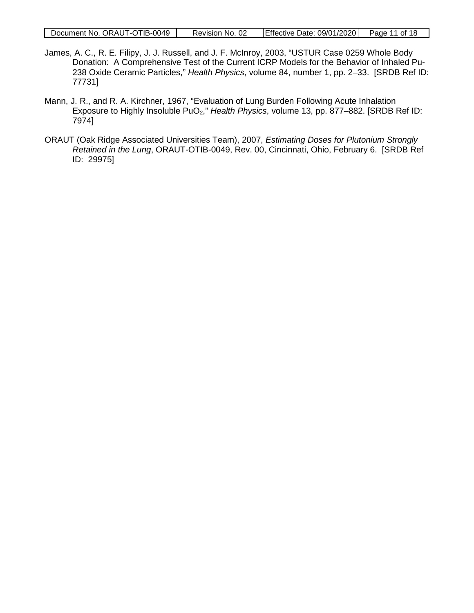|  | Document No. ORAUT-OTIB-0049 | Revision No. 02 | Effective Date: 09/01/2020 Page 11 of 18 |  |
|--|------------------------------|-----------------|------------------------------------------|--|
|--|------------------------------|-----------------|------------------------------------------|--|

- James, A. C., R. E. Filipy, J. J. Russell, and J. F. McInroy, 2003, "USTUR Case 0259 Whole Body Donation: A Comprehensive Test of the Current ICRP Models for the Behavior of Inhaled Pu-238 Oxide Ceramic Particles," *Health Physics*, volume 84, number 1, pp. 2–33. [SRDB Ref ID: 77731]
- Mann, J. R., and R. A. Kirchner, 1967, "Evaluation of Lung Burden Following Acute Inhalation Exposure to Highly Insoluble PuO2," *Health Physics*, volume 13, pp. 877–882. [SRDB Ref ID: 7974]
- ORAUT (Oak Ridge Associated Universities Team), 2007, *Estimating Doses for Plutonium Strongly Retained in the Lung*, ORAUT-OTIB-0049, Rev. 00, Cincinnati, Ohio, February 6. [SRDB Ref ID: 29975]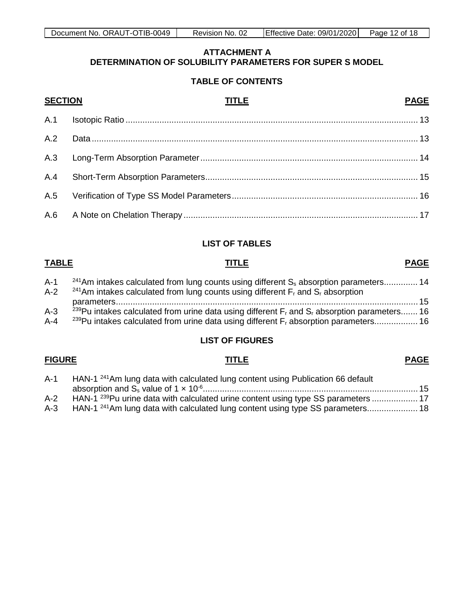### **TABLE OF CONTENTS**

<span id="page-11-0"></span>

| <b>SECTION</b> | <b>TITLE</b><br><b>PAGE</b> |
|----------------|-----------------------------|
|                |                             |
| A.2            |                             |
|                |                             |
|                |                             |
|                |                             |
|                |                             |

### **LIST OF TABLES**

#### **TABLE TITLE PAGE**

| $A-1$   | $241$ Am intakes calculated from lung counts using different $S_s$ absorption parameters 14                   |
|---------|---------------------------------------------------------------------------------------------------------------|
| $A-2$   | <sup>241</sup> Am intakes calculated from lung counts using different $F_r$ and $S_r$ absorption              |
|         |                                                                                                               |
| $A-3$   | <sup>239</sup> Pu intakes calculated from urine data using different $F_r$ and $S_r$ absorption parameters 16 |
| $A - 4$ | <sup>239</sup> Pu intakes calculated from urine data using different F <sub>r</sub> absorption parameters 16  |
|         |                                                                                                               |

## **LIST OF FIGURES**

#### **FIGURE TITLE PAGE**

# A-1 HAN-1<sup>241</sup>Am lung data with calculated lung content using Publication 66 default absorption and Ss [value of 1 × 10-6.........................................................................................](#page-14-1) 15 A-2 HAN-1<sup>239</sup>Pu urine data with calculated urine content using type SS parameters ..............................<br>A-3 HAN-1<sup>241</sup>Am lung data with calculated lung content using type SS parameters............................

HAN-1<sup>241</sup>Am lung data with calculated lung content using type SS parameters..................... 18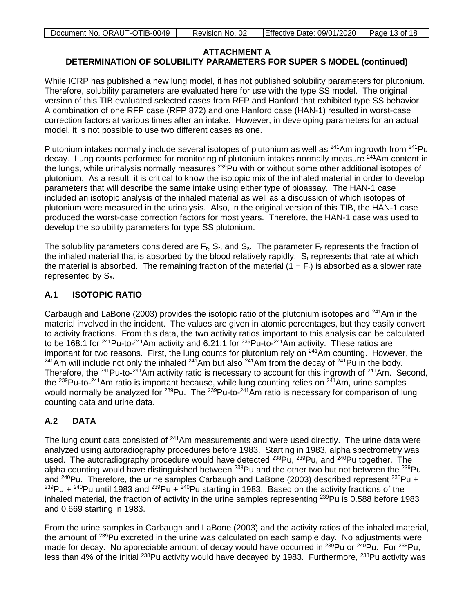While ICRP has published a new lung model, it has not published solubility parameters for plutonium. Therefore, solubility parameters are evaluated here for use with the type SS model. The original version of this TIB evaluated selected cases from RFP and Hanford that exhibited type SS behavior. A combination of one RFP case (RFP 872) and one Hanford case (HAN-1) resulted in worst-case correction factors at various times after an intake. However, in developing parameters for an actual model, it is not possible to use two different cases as one.

Plutonium intakes normally include several isotopes of plutonium as well as <sup>241</sup>Am ingrowth from <sup>241</sup>Pu decay. Lung counts performed for monitoring of plutonium intakes normally measure <sup>241</sup>Am content in the lungs, while urinalysis normally measures <sup>239</sup>Pu with or without some other additional isotopes of plutonium. As a result, it is critical to know the isotopic mix of the inhaled material in order to develop parameters that will describe the same intake using either type of bioassay. The HAN-1 case included an isotopic analysis of the inhaled material as well as a discussion of which isotopes of plutonium were measured in the urinalysis. Also, in the original version of this TIB, the HAN-1 case produced the worst-case correction factors for most years. Therefore, the HAN-1 case was used to develop the solubility parameters for type SS plutonium.

The solubility parameters considered are  $F_1$ ,  $S_1$ , and  $S_2$ . The parameter  $F_1$  represents the fraction of the inhaled material that is absorbed by the blood relatively rapidly.  $S<sub>r</sub>$  represents that rate at which the material is absorbed. The remaining fraction of the material (1 –  $F<sub>r</sub>$ ) is absorbed as a slower rate represented by S<sub>s</sub>.

## <span id="page-12-0"></span>**A.1 ISOTOPIC RATIO**

Carbaugh and LaBone (2003) provides the isotopic ratio of the plutonium isotopes and 241Am in the material involved in the incident. The values are given in atomic percentages, but they easily convert to activity fractions. From this data, the two activity ratios important to this analysis can be calculated to be 168:1 for <sup>241</sup>Pu-to-<sup>241</sup>Am activity and 6.21:1 for <sup>239</sup>Pu-to-<sup>241</sup>Am activity. These ratios are important for two reasons. First, the lung counts for plutonium rely on  $241$ Am counting. However, the  $241$ Am will include not only the inhaled  $241$ Am but also  $241$ Am from the decay of  $241$ Pu in the body. Therefore, the <sup>241</sup>Pu-to-<sup>241</sup>Am activity ratio is necessary to account for this ingrowth of <sup>241</sup>Am. Second, the <sup>239</sup>Pu-to-<sup>241</sup>Am ratio is important because, while lung counting relies on <sup>241</sup>Am, urine samples would normally be analyzed for <sup>239</sup>Pu. The <sup>239</sup>Pu-to-<sup>241</sup>Am ratio is necessary for comparison of lung counting data and urine data.

## <span id="page-12-1"></span>**A.2 DATA**

The lung count data consisted of <sup>241</sup>Am measurements and were used directly. The urine data were analyzed using autoradiography procedures before 1983. Starting in 1983, alpha spectrometry was used. The autoradiography procedure would have detected <sup>238</sup>Pu, <sup>239</sup>Pu, and <sup>240</sup>Pu together. The alpha counting would have distinguished between  $^{238}$ Pu and the other two but not between the  $^{239}$ Pu and  $240$ Pu. Therefore, the urine samples Carbaugh and LaBone (2003) described represent  $238$ Pu +  $^{239}$ Pu +  $^{240}$ Pu until 1983 and  $^{239}$ Pu +  $^{240}$ Pu starting in 1983. Based on the activity fractions of the inhaled material, the fraction of activity in the urine samples representing <sup>239</sup>Pu is 0.588 before 1983 and 0.669 starting in 1983.

From the urine samples in Carbaugh and LaBone (2003) and the activity ratios of the inhaled material, the amount of 239Pu excreted in the urine was calculated on each sample day. No adjustments were made for decay. No appreciable amount of decay would have occurred in  $^{239}$ Pu or  $^{240}$ Pu. For  $^{238}$ Pu, less than 4% of the initial <sup>238</sup>Pu activity would have decayed by 1983. Furthermore, <sup>238</sup>Pu activity was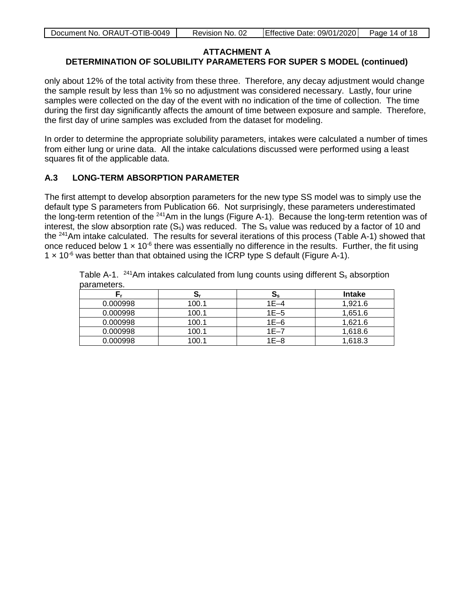## **ATTACHMENT A**

#### **DETERMINATION OF SOLUBILITY PARAMETERS FOR SUPER S MODEL (continued)**

only about 12% of the total activity from these three. Therefore, any decay adjustment would change the sample result by less than 1% so no adjustment was considered necessary. Lastly, four urine samples were collected on the day of the event with no indication of the time of collection. The time during the first day significantly affects the amount of time between exposure and sample. Therefore, the first day of urine samples was excluded from the dataset for modeling.

In order to determine the appropriate solubility parameters, intakes were calculated a number of times from either lung or urine data. All the intake calculations discussed were performed using a least squares fit of the applicable data.

#### <span id="page-13-1"></span>**A.3 LONG-TERM ABSORPTION PARAMETER**

The first attempt to develop absorption parameters for the new type SS model was to simply use the default type S parameters from Publication 66. Not surprisingly, these parameters underestimated the long-term retention of the <sup>241</sup>Am in the lungs (Figure A-1). Because the long-term retention was of interest, the slow absorption rate  $(S_s)$  was reduced. The  $S_s$  value was reduced by a factor of 10 and the <sup>241</sup>Am intake calculated. The results for several iterations of this process (Table A-1) showed that once reduced below 1  $\times$  10<sup>-6</sup> there was essentially no difference in the results. Further, the fit using  $1 \times 10^{-6}$  was better than that obtained using the ICRP type S default (Figure A-1).

Table A-1.  $^{241}$ Am intakes calculated from lung counts using different  $S_s$  absorption parameters.

<span id="page-13-0"></span>

|          | S,    | $\mathbf{S}_{\mathbf{s}}$ | <b>Intake</b> |
|----------|-------|---------------------------|---------------|
| 0.000998 | 100.1 | $1E-4$                    | 1.921.6       |
| 0.000998 | 100.1 | $1E-5$                    | 1,651.6       |
| 0.000998 | 100.1 | $1E-6$                    | 1,621.6       |
| 0.000998 | 100.1 | $1E-7$                    | 1,618.6       |
| 0.000998 | 100.1 | $1E-8$                    | 1,618.3       |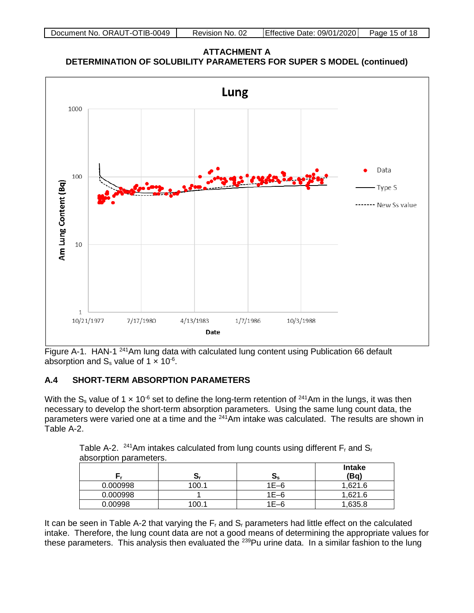**ATTACHMENT A DETERMINATION OF SOLUBILITY PARAMETERS FOR SUPER S MODEL (continued)**



Figure A-1. HAN-1<sup>241</sup>Am lung data with calculated lung content using Publication 66 default absorption and  $S_s$  value of 1  $\times$  10<sup>-6</sup>.

### <span id="page-14-2"></span>**A.4 SHORT-TERM ABSORPTION PARAMETERS**

With the S<sub>s</sub> value of 1  $\times$  10<sup>-6</sup> set to define the long-term retention of <sup>241</sup>Am in the lungs, it was then necessary to develop the short-term absorption parameters. Using the same lung count data, the parameters were varied one at a time and the <sup>241</sup>Am intake was calculated. The results are shown in Table A-2.

<span id="page-14-1"></span>Table A-2. <sup>241</sup>Am intakes calculated from lung counts using different  $F_r$  and  $S_r$ absorption parameters.

<span id="page-14-0"></span>

|          | Οr    | $\mathbf{S}_{\mathbf{s}}$ | <b>Intake</b><br>(Bq) |
|----------|-------|---------------------------|-----------------------|
| 0.000998 | 100.1 | $1E-6$                    | 1,621.6               |
| 0.000998 |       | $1E-6$                    | 1,621.6               |
| 0.00998  | 100.1 | $1E-6$                    | 1,635.8               |

It can be seen in Table A-2 that varying the  $F_r$  and  $S_r$  parameters had little effect on the calculated intake. Therefore, the lung count data are not a good means of determining the appropriate values for these parameters. This analysis then evaluated the <sup>239</sup>Pu urine data. In a similar fashion to the lung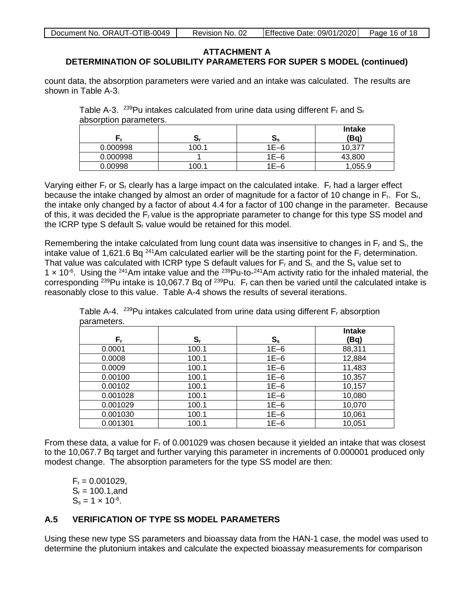count data, the absorption parameters were varied and an intake was calculated. The results are shown in Table A-3.

<span id="page-15-0"></span>

|                        | Table A-3. $^{239}$ Pu intakes calculated from urine data using different F <sub>r</sub> and S <sub>r</sub> |  |  |
|------------------------|-------------------------------------------------------------------------------------------------------------|--|--|
| absorption parameters. |                                                                                                             |  |  |

|          | יט    | IJς    | <b>Intake</b><br>(Bq) |
|----------|-------|--------|-----------------------|
| 0.000998 | 100.1 | $1E-6$ | 10,377                |
| 0.000998 |       | $1E-6$ | 43,800                |
| 0.00998  | 100.1 | $1E-6$ | ,055.9                |

Varying either  $F_r$  or  $S_r$  clearly has a large impact on the calculated intake.  $F_r$  had a larger effect because the intake changed by almost an order of magnitude for a factor of 10 change in F<sub>r</sub>. For S<sub>r</sub>, the intake only changed by a factor of about 4.4 for a factor of 100 change in the parameter. Because of this, it was decided the Fr value is the appropriate parameter to change for this type SS model and the ICRP type S default  $S<sub>r</sub>$  value would be retained for this model.

Remembering the intake calculated from lung count data was insensitive to changes in  $F_r$  and  $S_r$ , the intake value of 1,621.6 Bq<sup>241</sup>Am calculated earlier will be the starting point for the F<sub>r</sub> determination. That value was calculated with ICRP type S default values for  $F_r$  and  $S_r$  and the  $S_s$  value set to 1  $\times$  10<sup>-6</sup>. Using the <sup>241</sup>Am intake value and the <sup>239</sup>Pu-to-<sup>241</sup>Am activity ratio for the inhaled material, the corresponding  $239$ Pu intake is 10,067.7 Bq of  $239$ Pu. F<sub>r</sub> can then be varied until the calculated intake is reasonably close to this value. Table A-4 shows the results of several iterations.

<span id="page-15-1"></span>

| parameters. |         |         |                       |  |
|-------------|---------|---------|-----------------------|--|
| F,          | $S_{r}$ | $S_{s}$ | <b>Intake</b><br>(Bq) |  |
| 0.0001      | 100.1   | $1E-6$  | 88,311                |  |
| 0.0008      | 100.1   | $1E-6$  | 12,884                |  |
| 0.0009      | 100.1   | $1E-6$  | 11,483                |  |
| 0.00100     | 100.1   | $1E-6$  | 10,357                |  |
| 0.00102     | 100.1   | $1E-6$  | 10,157                |  |
| 0.001028    | 100.1   | $1E-6$  | 10,080                |  |
| 0.001029    | 100.1   | $1E-6$  | 10,070                |  |
| 0.001030    | 100.1   | $1E-6$  | 10,061                |  |
| 0.001301    | 100.1   | $1E-6$  | 10,051                |  |

Table A-4. <sup>239</sup>Pu intakes calculated from urine data using different  $F_r$  absorption parameters.

From these data, a value for  $F_r$  of 0.001029 was chosen because it yielded an intake that was closest to the 10,067.7 Bq target and further varying this parameter in increments of 0.000001 produced only modest change. The absorption parameters for the type SS model are then:

 $F_r = 0.001029$ ,  $S_r = 100.1$ , and  $S_s = 1 \times 10^{-6}$ .

## <span id="page-15-2"></span>**A.5 VERIFICATION OF TYPE SS MODEL PARAMETERS**

Using these new type SS parameters and bioassay data from the HAN-1 case, the model was used to determine the plutonium intakes and calculate the expected bioassay measurements for comparison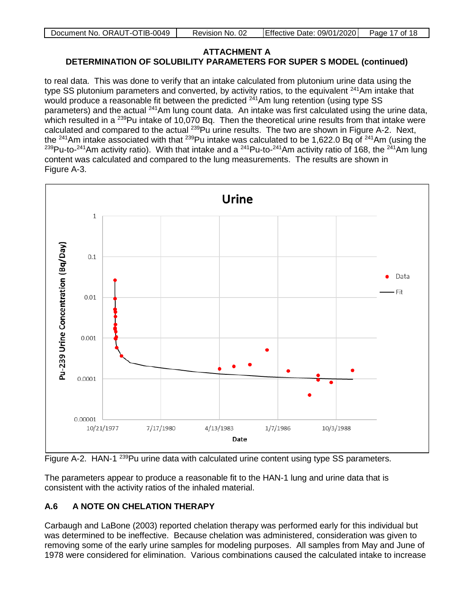| Document No. ORAUT-OTIB-0049 | Revision No. 02 | Effective Date: 09/01/2020 Page 17 of 18 |  |
|------------------------------|-----------------|------------------------------------------|--|

to real data. This was done to verify that an intake calculated from plutonium urine data using the type SS plutonium parameters and converted, by activity ratios, to the equivalent <sup>241</sup>Am intake that would produce a reasonable fit between the predicted  $241$ Am lung retention (using type SS parameters) and the actual <sup>241</sup>Am lung count data. An intake was first calculated using the urine data, which resulted in a <sup>239</sup>Pu intake of 10,070 Bq. Then the theoretical urine results from that intake were calculated and compared to the actual <sup>239</sup>Pu urine results. The two are shown in Figure A-2. Next, the <sup>241</sup>Am intake associated with that <sup>239</sup>Pu intake was calculated to be 1,622.0 Bq of <sup>241</sup>Am (using the <sup>239</sup>Pu-to-<sup>241</sup>Am activity ratio). With that intake and a <sup>241</sup>Pu-to-<sup>241</sup>Am activity ratio of 168, the <sup>241</sup>Am lung content was calculated and compared to the lung measurements. The results are shown in Figure A-3.



<span id="page-16-0"></span>Figure A-2. HAN-1<sup>239</sup>Pu urine data with calculated urine content using type SS parameters.

The parameters appear to produce a reasonable fit to the HAN-1 lung and urine data that is consistent with the activity ratios of the inhaled material.

## <span id="page-16-1"></span>**A.6 A NOTE ON CHELATION THERAPY**

Carbaugh and LaBone (2003) reported chelation therapy was performed early for this individual but was determined to be ineffective. Because chelation was administered, consideration was given to removing some of the early urine samples for modeling purposes. All samples from May and June of 1978 were considered for elimination. Various combinations caused the calculated intake to increase